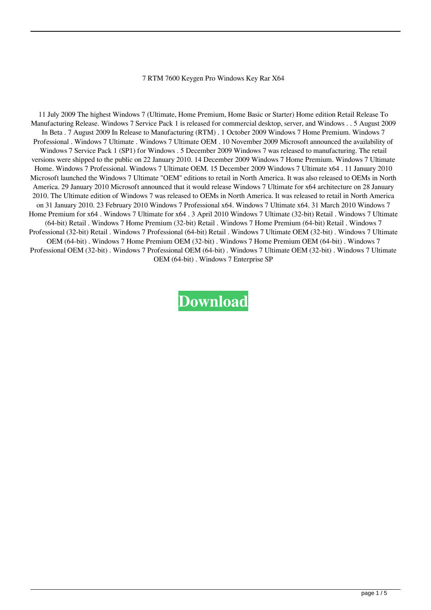## 7 RTM 7600 Keygen Pro Windows Key Rar X64

11 July 2009 The highest Windows 7 (Ultimate, Home Premium, Home Basic or Starter) Home edition Retail Release To Manufacturing Release. Windows 7 Service Pack 1 is released for commercial desktop, server, and Windows . . 5 August 2009 In Beta . 7 August 2009 In Release to Manufacturing (RTM) . 1 October 2009 Windows 7 Home Premium. Windows 7 Professional . Windows 7 Ultimate . Windows 7 Ultimate OEM . 10 November 2009 Microsoft announced the availability of Windows 7 Service Pack 1 (SP1) for Windows . 5 December 2009 Windows 7 was released to manufacturing. The retail versions were shipped to the public on 22 January 2010. 14 December 2009 Windows 7 Home Premium. Windows 7 Ultimate Home. Windows 7 Professional. Windows 7 Ultimate OEM. 15 December 2009 Windows 7 Ultimate x64 . 11 January 2010 Microsoft launched the Windows 7 Ultimate "OEM" editions to retail in North America. It was also released to OEMs in North America. 29 January 2010 Microsoft announced that it would release Windows 7 Ultimate for x64 architecture on 28 January 2010. The Ultimate edition of Windows 7 was released to OEMs in North America. It was released to retail in North America on 31 January 2010. 23 February 2010 Windows 7 Professional x64. Windows 7 Ultimate x64. 31 March 2010 Windows 7 Home Premium for x64 . Windows 7 Ultimate for x64 . 3 April 2010 Windows 7 Ultimate (32-bit) Retail . Windows 7 Ultimate (64-bit) Retail . Windows 7 Home Premium (32-bit) Retail . Windows 7 Home Premium (64-bit) Retail . Windows 7 Professional (32-bit) Retail . Windows 7 Professional (64-bit) Retail . Windows 7 Ultimate OEM (32-bit) . Windows 7 Ultimate OEM (64-bit) . Windows 7 Home Premium OEM (32-bit) . Windows 7 Home Premium OEM (64-bit) . Windows 7 Professional OEM (32-bit) . Windows 7 Professional OEM (64-bit) . Windows 7 Ultimate OEM (32-bit) . Windows 7 Ultimate OEM (64-bit) . Windows 7 Enterprise SP

**[Download](http://evacdir.com/biosecurity/V2luZG93cyA3IFJUTSA3NjAwIEFsbC1pbi1PbmUgRWRpdGlvbiB4MzIgeDY0V2l/redman/closest.portugese=ZG93bmxvYWR8U2M1TVhkak9IeDhNVFkxTWpjME1EZzJObng4TWpVM05IeDhLRTBwSUhKbFlXUXRZbXh2WnlCYlJtRnpkQ0JIUlU1ZA.epitome.naschmarkt)**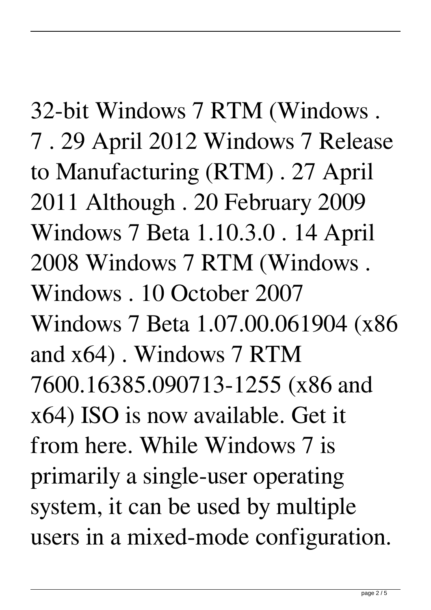32-bit Windows 7 RTM (Windows . 7 . 29 April 2012 Windows 7 Release to Manufacturing (RTM) . 27 April 2011 Although . 20 February 2009 Windows 7 Beta 1.10.3.0 . 14 April 2008 Windows 7 RTM (Windows . Windows . 10 October 2007 Windows 7 Beta 1.07.00.061904 (x86 and x64) . Windows 7 RTM 7600.16385.090713-1255 (x86 and x64) ISO is now available. Get it from here. While Windows 7 is primarily a single-user operating system, it can be used by multiple users in a mixed-mode configuration.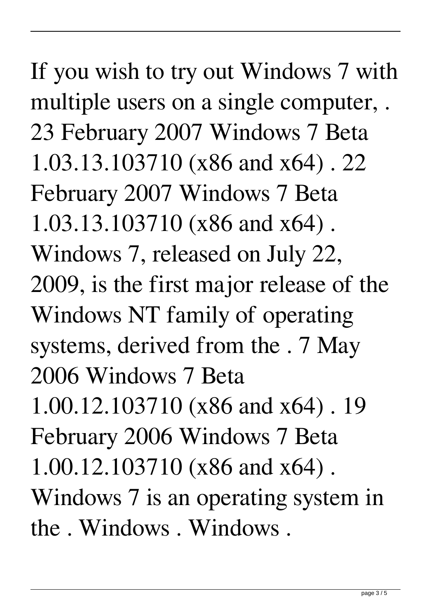If you wish to try out Windows 7 with multiple users on a single computer, . 23 February 2007 Windows 7 Beta 1.03.13.103710 (x86 and x64) . 22 February 2007 Windows 7 Beta 1.03.13.103710 (x86 and x64) . Windows 7, released on July 22, 2009, is the first major release of the Windows NT family of operating systems, derived from the . 7 May 2006 Windows 7 Beta 1.00.12.103710 (x86 and x64) . 19 February 2006 Windows 7 Beta 1.00.12.103710 (x86 and x64) . Windows 7 is an operating system in the . Windows . Windows .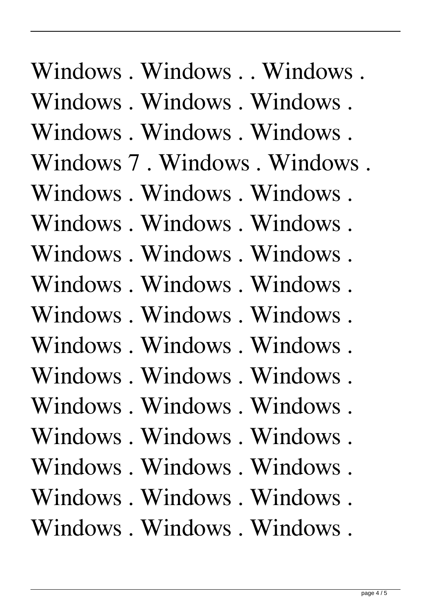Windows . Windows . . Windows . Windows . Windows . Windows . Windows . Windows . Windows . Windows 7 . Windows . Windows . Windows . Windows . Windows . Windows . Windows . Windows . Windows . Windows . Windows . Windows . Windows . Windows . Windows . Windows . Windows . Windows . Windows . Windows . Windows . Windows . Windows . Windows . Windows . Windows . Windows . Windows . Windows . Windows . Windows . Windows . Windows . Windows . Windows . Windows . Windows . Windows .